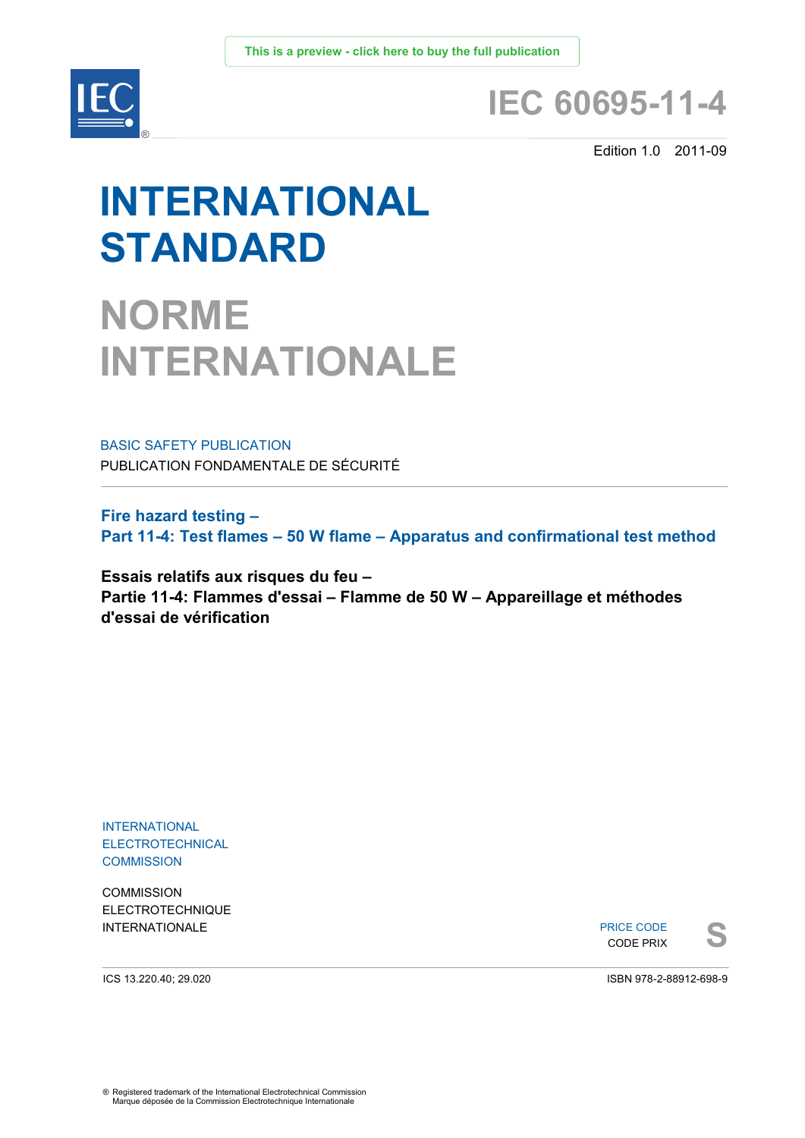

## **IEC 60695-11-4**

Edition 1.0 2011-09

# **INTERNATIONAL STANDARD**

**NORME INTERNATIONALE**

BASIC SAFETY PUBLICATION PUBLICATION FONDAMENTALE DE SÉCURITÉ

**Fire hazard testing – Part 11-4: Test flames – 50 W flame – Apparatus and confirmational test method**

**Essais relatifs aux risques du feu – Partie 11-4: Flammes d'essai – Flamme de 50 W – Appareillage et méthodes d'essai de vérification**

INTERNATIONAL **ELECTROTECHNICAL COMMISSION** 

**COMMISSION** ELECTROTECHNIQUE

INTERNATIONALE PRICE CODE PRIX PRICE CODE CODE PRIX

ICS 13.220.40; 29.020

ISBN 978-2-88912-698-9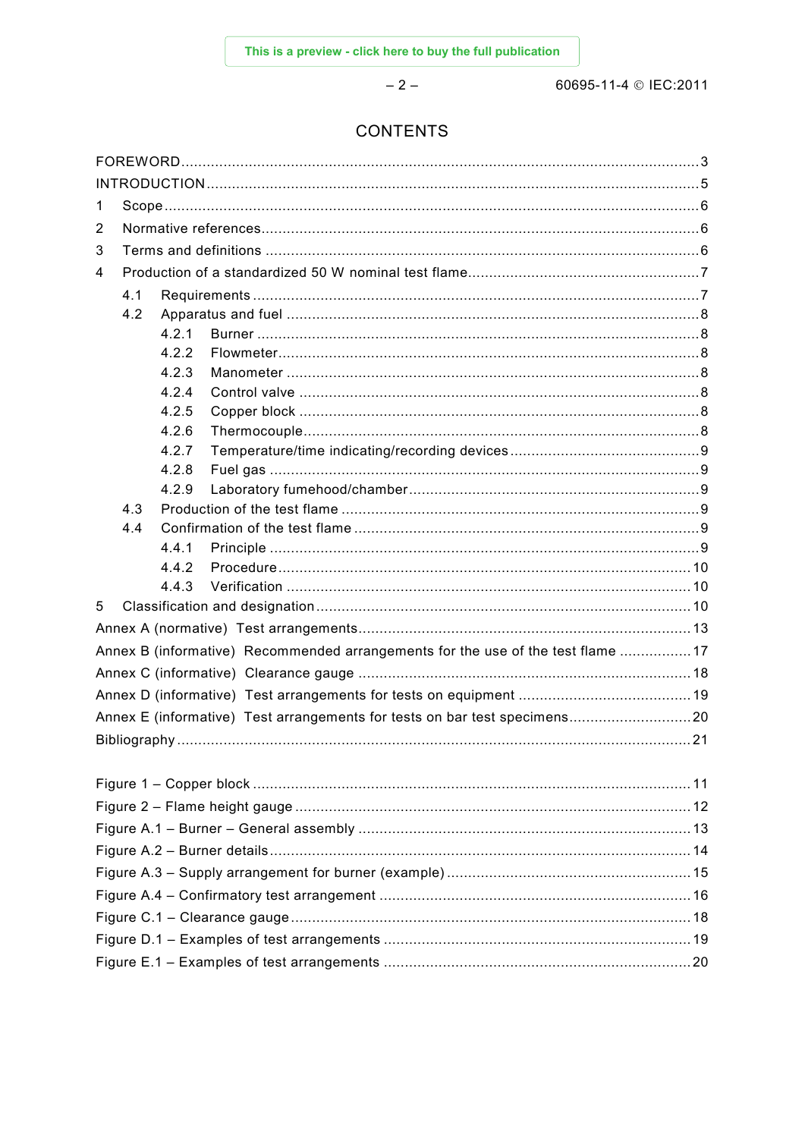$-2-$ 

## **CONTENTS**

| 1                                                                          |     |                                                                                 |  |  |  |  |
|----------------------------------------------------------------------------|-----|---------------------------------------------------------------------------------|--|--|--|--|
| 2                                                                          |     |                                                                                 |  |  |  |  |
| 3                                                                          |     |                                                                                 |  |  |  |  |
| 4                                                                          |     |                                                                                 |  |  |  |  |
|                                                                            | 4.1 |                                                                                 |  |  |  |  |
|                                                                            | 4.2 |                                                                                 |  |  |  |  |
|                                                                            |     | 4.2.1                                                                           |  |  |  |  |
|                                                                            |     | 4.2.2                                                                           |  |  |  |  |
|                                                                            |     | 4.2.3                                                                           |  |  |  |  |
|                                                                            |     | 4.2.4                                                                           |  |  |  |  |
|                                                                            |     | 4.2.5                                                                           |  |  |  |  |
|                                                                            |     | 4.2.6                                                                           |  |  |  |  |
|                                                                            |     | 4.2.7                                                                           |  |  |  |  |
|                                                                            |     | 4.2.8                                                                           |  |  |  |  |
|                                                                            |     | 4.2.9                                                                           |  |  |  |  |
|                                                                            | 4.3 |                                                                                 |  |  |  |  |
|                                                                            | 4.4 |                                                                                 |  |  |  |  |
|                                                                            |     | 4.4.1                                                                           |  |  |  |  |
|                                                                            |     | 4.4.2                                                                           |  |  |  |  |
|                                                                            |     | 4.4.3                                                                           |  |  |  |  |
|                                                                            | 5   |                                                                                 |  |  |  |  |
|                                                                            |     |                                                                                 |  |  |  |  |
|                                                                            |     | Annex B (informative) Recommended arrangements for the use of the test flame 17 |  |  |  |  |
|                                                                            |     |                                                                                 |  |  |  |  |
|                                                                            |     |                                                                                 |  |  |  |  |
| Annex E (informative) Test arrangements for tests on bar test specimens 20 |     |                                                                                 |  |  |  |  |
|                                                                            |     |                                                                                 |  |  |  |  |
|                                                                            |     |                                                                                 |  |  |  |  |
|                                                                            |     |                                                                                 |  |  |  |  |
|                                                                            |     |                                                                                 |  |  |  |  |
|                                                                            |     |                                                                                 |  |  |  |  |
|                                                                            |     |                                                                                 |  |  |  |  |
|                                                                            |     |                                                                                 |  |  |  |  |
|                                                                            |     |                                                                                 |  |  |  |  |
|                                                                            |     |                                                                                 |  |  |  |  |
|                                                                            |     |                                                                                 |  |  |  |  |
|                                                                            |     |                                                                                 |  |  |  |  |
|                                                                            |     |                                                                                 |  |  |  |  |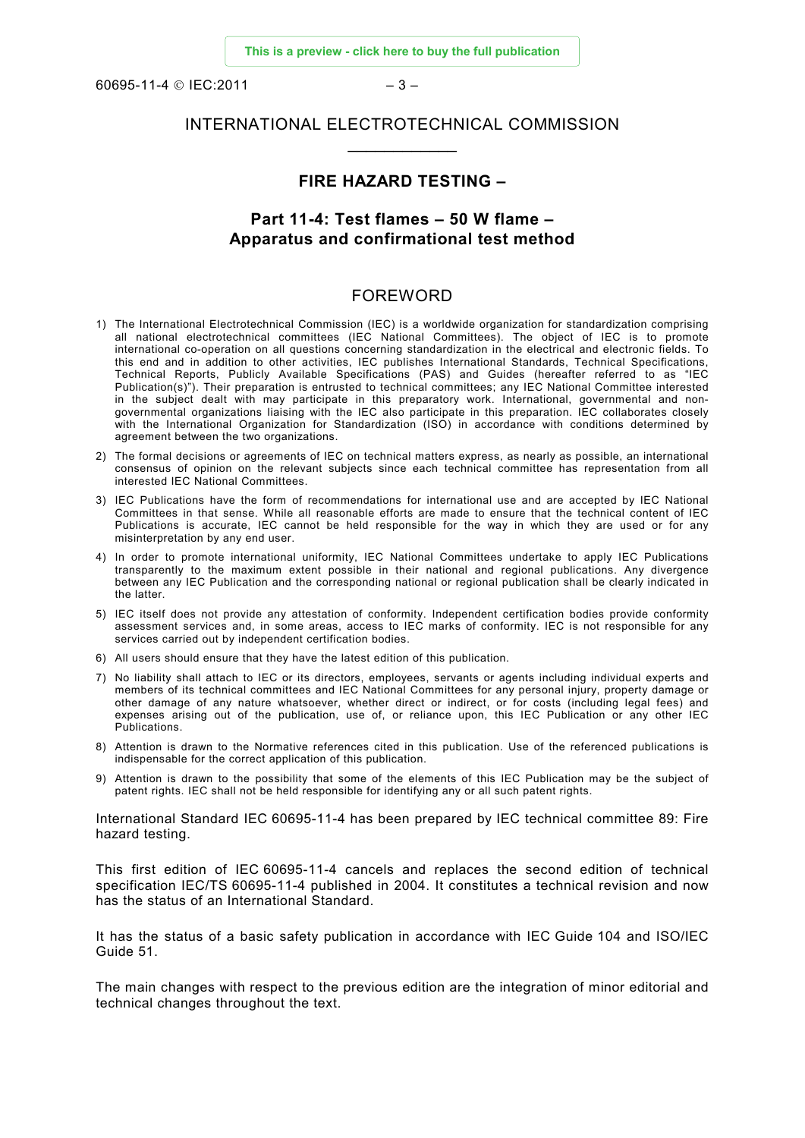$60695-11-4 \odot \text{IEC:} 2011$   $-3-$ 

## INTERNATIONAL ELECTROTECHNICAL COMMISSION  $\overline{\phantom{a}}$

#### **FIRE HAZARD TESTING –**

## **Part 11-4: Test flames – 50 W flame – Apparatus and confirmational test method**

#### FOREWORD

- 1) The International Electrotechnical Commission (IEC) is a worldwide organization for standardization comprising all national electrotechnical committees (IEC National Committees). The object of IEC is to promote international co-operation on all questions concerning standardization in the electrical and electronic fields. To this end and in addition to other activities, IEC publishes International Standards, Technical Specifications, Technical Reports, Publicly Available Specifications (PAS) and Guides (hereafter referred to as "IEC Publication(s)"). Their preparation is entrusted to technical committees; any IEC National Committee interested in the subject dealt with may participate in this preparatory work. International, governmental and nongovernmental organizations liaising with the IEC also participate in this preparation. IEC collaborates closely with the International Organization for Standardization (ISO) in accordance with conditions determined by agreement between the two organizations.
- 2) The formal decisions or agreements of IEC on technical matters express, as nearly as possible, an international consensus of opinion on the relevant subjects since each technical committee has representation from all interested IEC National Committees.
- 3) IEC Publications have the form of recommendations for international use and are accepted by IEC National Committees in that sense. While all reasonable efforts are made to ensure that the technical content of IEC Publications is accurate, IEC cannot be held responsible for the way in which they are used or for any misinterpretation by any end user.
- 4) In order to promote international uniformity, IEC National Committees undertake to apply IEC Publications transparently to the maximum extent possible in their national and regional publications. Any divergence between any IEC Publication and the corresponding national or regional publication shall be clearly indicated in the latter.
- 5) IEC itself does not provide any attestation of conformity. Independent certification bodies provide conformity assessment services and, in some areas, access to IEC marks of conformity. IEC is not responsible for any services carried out by independent certification bodies.
- 6) All users should ensure that they have the latest edition of this publication.
- 7) No liability shall attach to IEC or its directors, employees, servants or agents including individual experts and members of its technical committees and IEC National Committees for any personal injury, property damage or other damage of any nature whatsoever, whether direct or indirect, or for costs (including legal fees) and expenses arising out of the publication, use of, or reliance upon, this IEC Publication or any other IEC Publications.
- 8) Attention is drawn to the Normative references cited in this publication. Use of the referenced publications is indispensable for the correct application of this publication.
- 9) Attention is drawn to the possibility that some of the elements of this IEC Publication may be the subject of patent rights. IEC shall not be held responsible for identifying any or all such patent rights.

International Standard IEC 60695-11-4 has been prepared by IEC technical committee 89: Fire hazard testing.

This first edition of IEC 60695-11-4 cancels and replaces the second edition of technical specification IEC/TS 60695-11-4 published in 2004. It constitutes a technical revision and now has the status of an International Standard.

It has the status of a basic safety publication in accordance with IEC Guide 104 and ISO/IEC Guide 51.

The main changes with respect to the previous edition are the integration of minor editorial and technical changes throughout the text.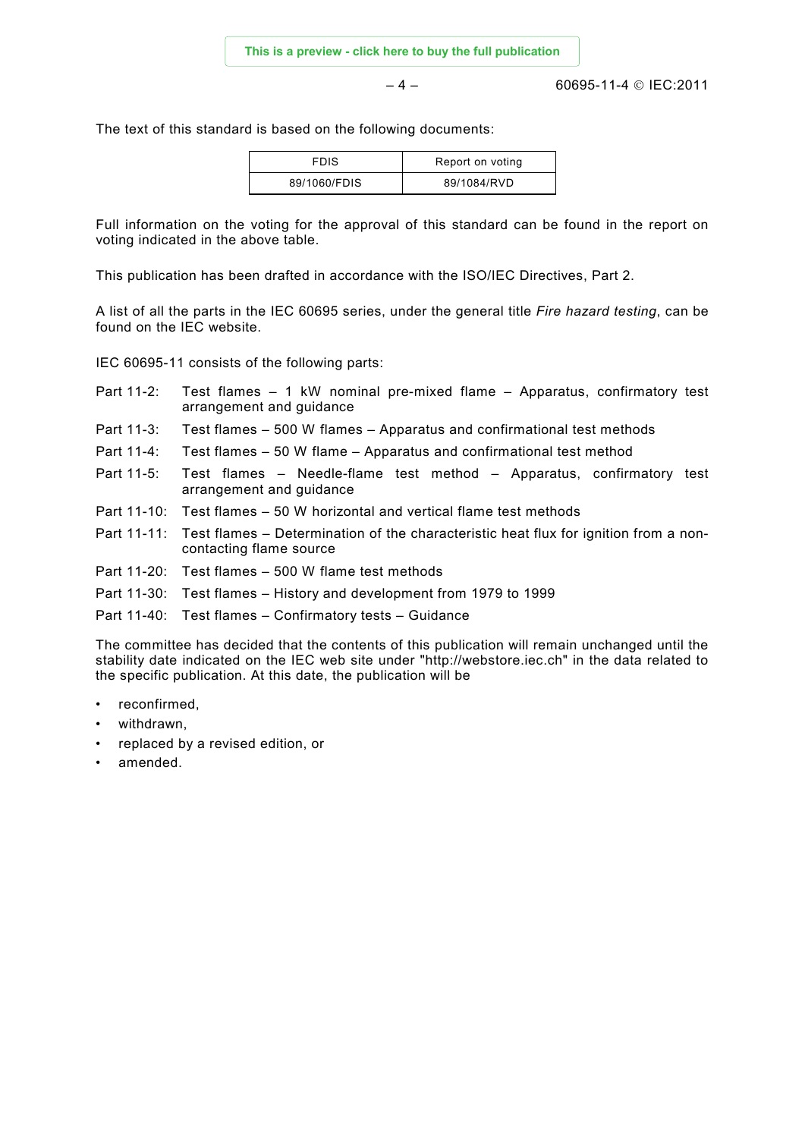$-4 - 4 = 60695 - 11 - 4 \odot 12011$ 

The text of this standard is based on the following documents:

| <b>FDIS</b>  | Report on voting |
|--------------|------------------|
| 89/1060/FDIS | 89/1084/RVD      |

Full information on the voting for the approval of this standard can be found in the report on voting indicated in the above table.

This publication has been drafted in accordance with the ISO/IEC Directives, Part 2.

A list of all the parts in the IEC 60695 series, under the general title *Fire hazard testing*, can be found on the IEC website.

IEC 60695-11 consists of the following parts:

- Part 11-2: Test flames 1 kW nominal pre-mixed flame Apparatus, confirmatory test arrangement and guidance
- Part 11-3: Test flames 500 W flames Apparatus and confirmational test methods
- Part 11-4: Test flames 50 W flame Apparatus and confirmational test method
- Part 11-5: Test flames Needle-flame test method Apparatus, confirmatory test arrangement and guidance
- Part 11-10: Test flames 50 W horizontal and vertical flame test methods
- Part 11-11: Test flames Determination of the characteristic heat flux for ignition from a noncontacting flame source
- Part 11-20: Test flames 500 W flame test methods
- Part 11-30: Test flames History and development from 1979 to 1999
- Part 11-40: Test flames Confirmatory tests Guidance

The committee has decided that the contents of this publication will remain unchanged until the stability date indicated on the IEC web site under "http://webstore.iec.ch" in the data related to the specific publication. At this date, the publication will be

- reconfirmed,
- withdrawn,
- replaced by a revised edition, or
- amended.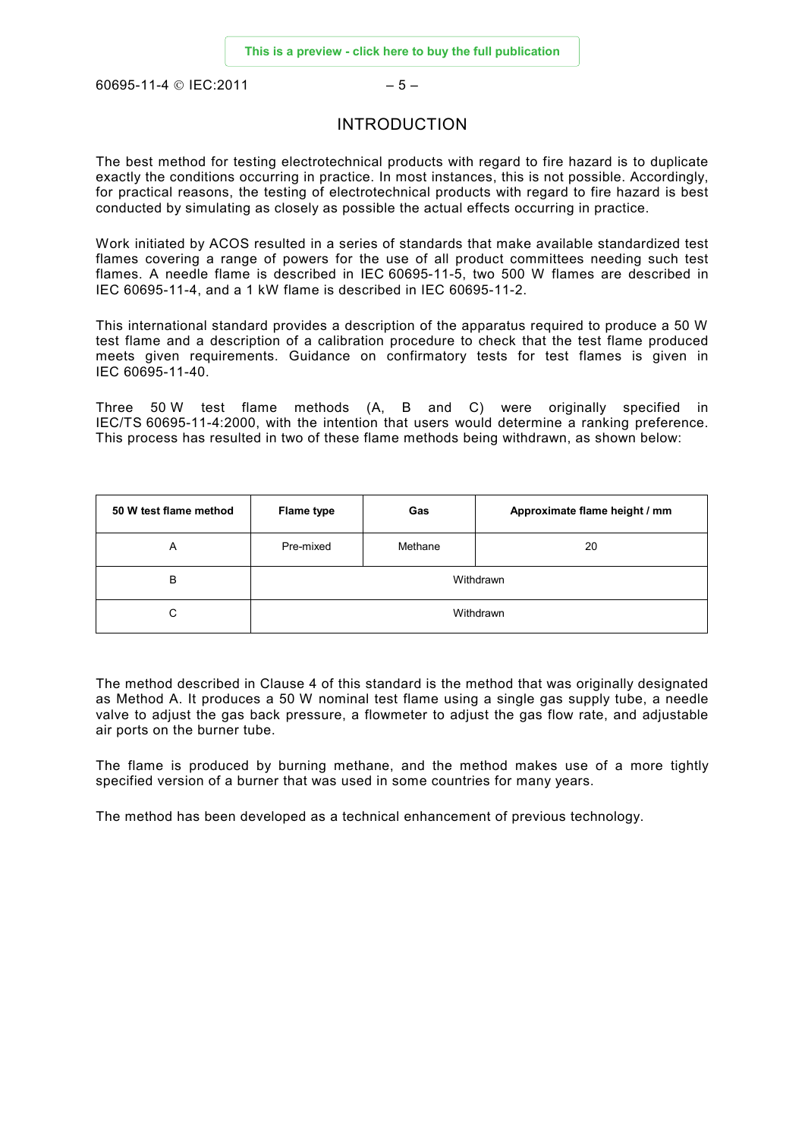$60695-11-4 \odot \text{IEC:} 2011$  – 5 –

## INTRODUCTION

The best method for testing electrotechnical products with regard to fire hazard is to duplicate exactly the conditions occurring in practice. In most instances, this is not possible. Accordingly, for practical reasons, the testing of electrotechnical products with regard to fire hazard is best conducted by simulating as closely as possible the actual effects occurring in practice.

Work initiated by ACOS resulted in a series of standards that make available standardized test flames covering a range of powers for the use of all product committees needing such test flames. A needle flame is described in IEC 60695-11-5, two 500 W flames are described in IEC 60695-11-4, and a 1 kW flame is described in IEC 60695-11-2.

This international standard provides a description of the apparatus required to produce a 50 W test flame and a description of a calibration procedure to check that the test flame produced meets given requirements. Guidance on confirmatory tests for test flames is given in IEC 60695-11-40.

Three 50 W test flame methods (A, B and C) were originally specified in IEC/TS 60695-11-4:2000, with the intention that users would determine a ranking preference. This process has resulted in two of these flame methods being withdrawn, as shown below:

| 50 W test flame method | <b>Flame type</b> | Gas     | Approximate flame height / mm |  |
|------------------------|-------------------|---------|-------------------------------|--|
| A                      | Pre-mixed         | Methane | 20                            |  |
| B                      | Withdrawn         |         |                               |  |
| C                      | Withdrawn         |         |                               |  |

The method described in Clause 4 of this standard is the method that was originally designated as Method A. It produces a 50 W nominal test flame using a single gas supply tube, a needle valve to adjust the gas back pressure, a flowmeter to adjust the gas flow rate, and adjustable air ports on the burner tube.

The flame is produced by burning methane, and the method makes use of a more tightly specified version of a burner that was used in some countries for many years.

The method has been developed as a technical enhancement of previous technology.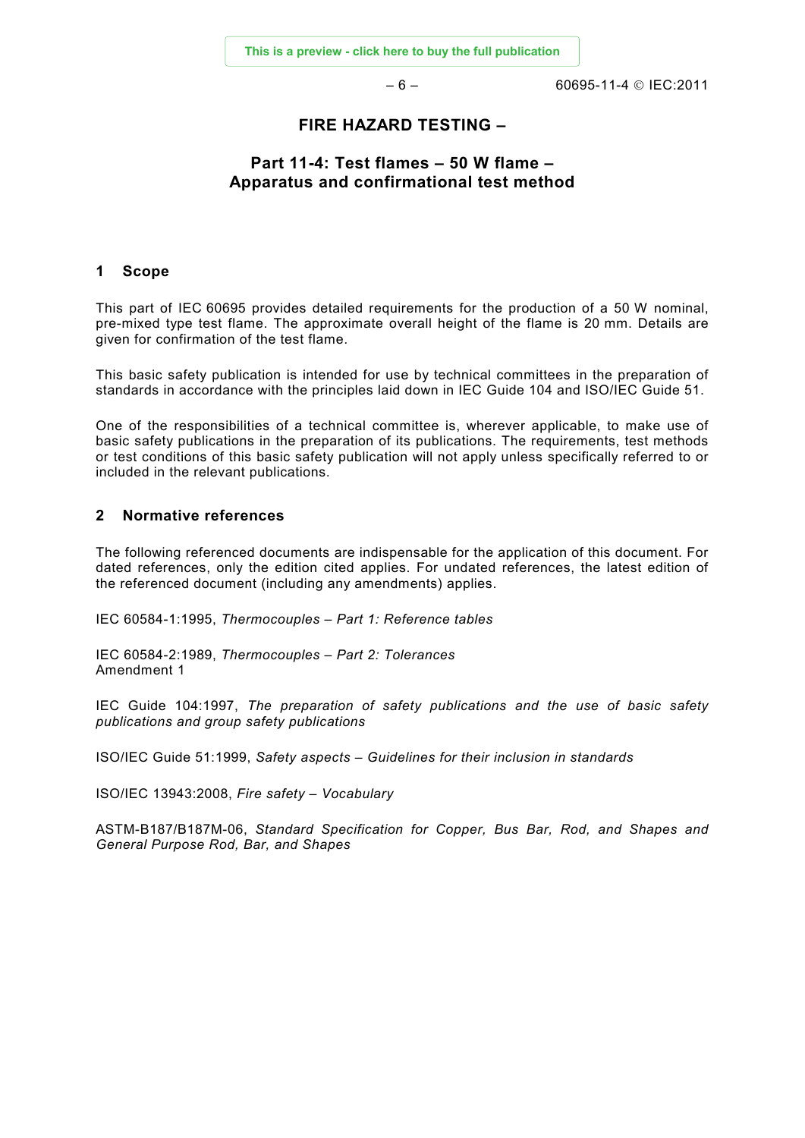$-6 - 6$  60695-11-4 © IEC:2011

## **FIRE HAZARD TESTING –**

## **Part 11-4: Test flames – 50 W flame – Apparatus and confirmational test method**

#### **1 Scope**

This part of IEC 60695 provides detailed requirements for the production of a 50 W nominal, pre-mixed type test flame. The approximate overall height of the flame is 20 mm. Details are given for confirmation of the test flame.

This basic safety publication is intended for use by technical committees in the preparation of standards in accordance with the principles laid down in IEC Guide 104 and ISO/IEC Guide 51.

One of the responsibilities of a technical committee is, wherever applicable, to make use of basic safety publications in the preparation of its publications. The requirements, test methods or test conditions of this basic safety publication will not apply unless specifically referred to or included in the relevant publications.

## **2 Normative references**

The following referenced documents are indispensable for the application of this document. For dated references, only the edition cited applies. For undated references, the latest edition of the referenced document (including any amendments) applies.

IEC 60584-1:1995, *Thermocouples – Part 1: Reference tables*

IEC 60584-2:1989, *Thermocouples – Part 2: Tolerances*  Amendment 1

IEC Guide 104:1997, *The preparation of safety publications and the use of basic safety publications and group safety publications*

ISO/IEC Guide 51:1999, *Safety aspects – Guidelines for their inclusion in standards*

ISO/IEC 13943:2008, *Fire safety – Vocabulary*

ASTM-B187/B187M-06, *Standard Specification for Copper, Bus Bar, Rod, and Shapes and General Purpose Rod, Bar, and Shapes*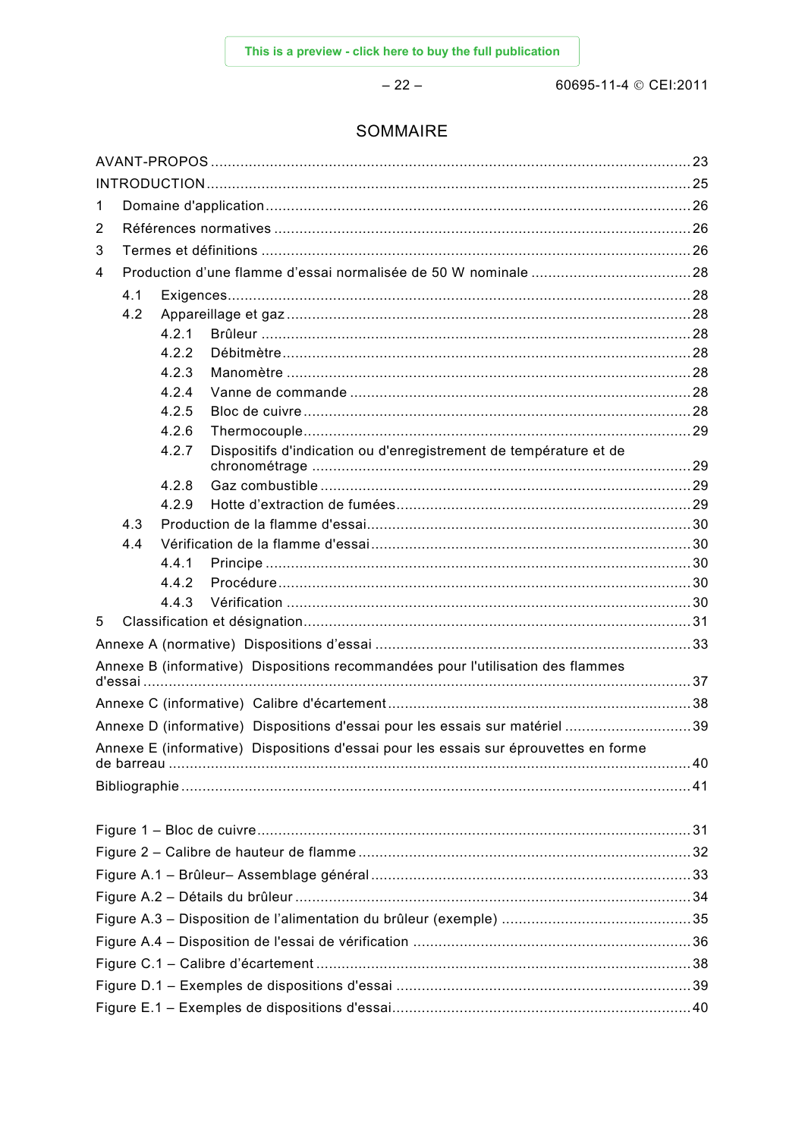$-22-$ 

## SOMMAIRE

| 1 |     |       |  |                                                                                      |  |  |  |
|---|-----|-------|--|--------------------------------------------------------------------------------------|--|--|--|
| 2 |     |       |  |                                                                                      |  |  |  |
| 3 |     |       |  |                                                                                      |  |  |  |
| 4 |     |       |  |                                                                                      |  |  |  |
|   | 4.1 |       |  |                                                                                      |  |  |  |
|   | 4.2 |       |  |                                                                                      |  |  |  |
|   |     | 4.2.1 |  |                                                                                      |  |  |  |
|   |     | 4.2.2 |  |                                                                                      |  |  |  |
|   |     | 4.2.3 |  |                                                                                      |  |  |  |
|   |     | 4.2.4 |  |                                                                                      |  |  |  |
|   |     | 4.2.5 |  |                                                                                      |  |  |  |
|   |     | 4.2.6 |  |                                                                                      |  |  |  |
|   |     | 4.2.7 |  | Dispositifs d'indication ou d'enregistrement de température et de                    |  |  |  |
|   |     | 4.2.8 |  |                                                                                      |  |  |  |
|   |     | 4.2.9 |  |                                                                                      |  |  |  |
|   | 4.3 |       |  |                                                                                      |  |  |  |
|   | 4.4 |       |  |                                                                                      |  |  |  |
|   |     | 4.4.1 |  |                                                                                      |  |  |  |
|   |     | 4.4.2 |  |                                                                                      |  |  |  |
|   |     | 4.4.3 |  |                                                                                      |  |  |  |
| 5 |     |       |  |                                                                                      |  |  |  |
|   |     |       |  |                                                                                      |  |  |  |
|   |     |       |  | Annexe B (informative) Dispositions recommandées pour l'utilisation des flammes      |  |  |  |
|   |     |       |  |                                                                                      |  |  |  |
|   |     |       |  |                                                                                      |  |  |  |
|   |     |       |  | Annexe D (informative) Dispositions d'essai pour les essais sur matériel 39          |  |  |  |
|   |     |       |  | Annexe E (informative) Dispositions d'essai pour les essais sur éprouvettes en forme |  |  |  |
|   |     |       |  |                                                                                      |  |  |  |
|   |     |       |  |                                                                                      |  |  |  |
|   |     |       |  |                                                                                      |  |  |  |
|   |     |       |  |                                                                                      |  |  |  |
|   |     |       |  |                                                                                      |  |  |  |
|   |     |       |  |                                                                                      |  |  |  |
|   |     |       |  |                                                                                      |  |  |  |
|   |     |       |  |                                                                                      |  |  |  |
|   |     |       |  |                                                                                      |  |  |  |
|   |     |       |  |                                                                                      |  |  |  |
|   |     |       |  |                                                                                      |  |  |  |
|   |     |       |  |                                                                                      |  |  |  |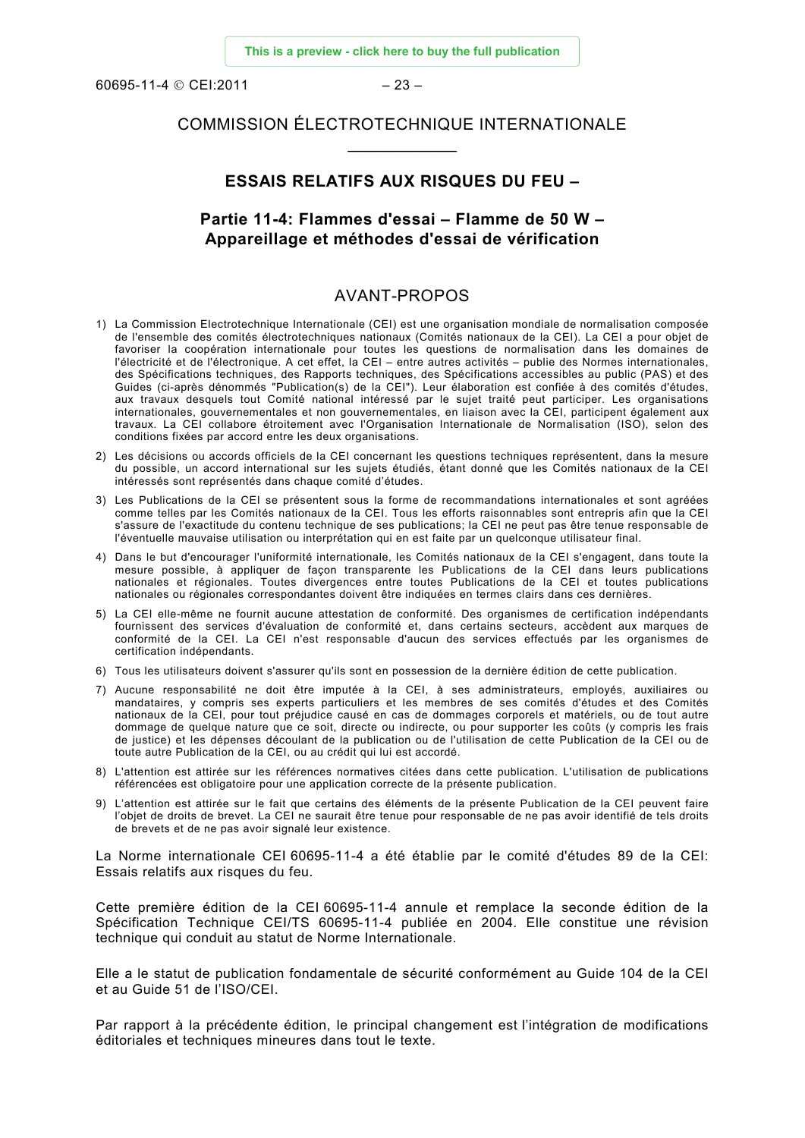$60695-11-4 \odot CF1:2011$  – 23 –

## COMMISSION ÉLECTROTECHNIQUE INTERNATIONALE  $\overline{\phantom{a}}$

### **ESSAIS RELATIFS AUX RISQUES DU FEU –**

## **Partie 11-4: Flammes d'essai – Flamme de 50 W – Appareillage et méthodes d'essai de vérification**

## AVANT-PROPOS

- 1) La Commission Electrotechnique Internationale (CEI) est une organisation mondiale de normalisation composée de l'ensemble des comités électrotechniques nationaux (Comités nationaux de la CEI). La CEI a pour objet de favoriser la coopération internationale pour toutes les questions de normalisation dans les domaines de l'électricité et de l'électronique. A cet effet, la CEI – entre autres activités – publie des Normes internationales, des Spécifications techniques, des Rapports techniques, des Spécifications accessibles au public (PAS) et des Guides (ci-après dénommés "Publication(s) de la CEI"). Leur élaboration est confiée à des comités d'études, aux travaux desquels tout Comité national intéressé par le sujet traité peut participer. Les organisations internationales, gouvernementales et non gouvernementales, en liaison avec la CEI, participent également aux travaux. La CEI collabore étroitement avec l'Organisation Internationale de Normalisation (ISO), selon des conditions fixées par accord entre les deux organisations.
- 2) Les décisions ou accords officiels de la CEI concernant les questions techniques représentent, dans la mesure du possible, un accord international sur les sujets étudiés, étant donné que les Comités nationaux de la CEI intéressés sont représentés dans chaque comité d'études.
- 3) Les Publications de la CEI se présentent sous la forme de recommandations internationales et sont agréées comme telles par les Comités nationaux de la CEI. Tous les efforts raisonnables sont entrepris afin que la CEI s'assure de l'exactitude du contenu technique de ses publications; la CEI ne peut pas être tenue responsable de l'éventuelle mauvaise utilisation ou interprétation qui en est faite par un quelconque utilisateur final.
- 4) Dans le but d'encourager l'uniformité internationale, les Comités nationaux de la CEI s'engagent, dans toute la mesure possible, à appliquer de façon transparente les Publications de la CEI dans leurs publications nationales et régionales. Toutes divergences entre toutes Publications de la CEI et toutes publications nationales ou régionales correspondantes doivent être indiquées en termes clairs dans ces dernières.
- 5) La CEI elle-même ne fournit aucune attestation de conformité. Des organismes de certification indépendants fournissent des services d'évaluation de conformité et, dans certains secteurs, accèdent aux marques de conformité de la CEI. La CEI n'est responsable d'aucun des services effectués par les organismes de certification indépendants.
- 6) Tous les utilisateurs doivent s'assurer qu'ils sont en possession de la dernière édition de cette publication.
- 7) Aucune responsabilité ne doit être imputée à la CEI, à ses administrateurs, employés, auxiliaires ou mandataires, y compris ses experts particuliers et les membres de ses comités d'études et des Comités nationaux de la CEI, pour tout préjudice causé en cas de dommages corporels et matériels, ou de tout autre dommage de quelque nature que ce soit, directe ou indirecte, ou pour supporter les coûts (y compris les frais de justice) et les dépenses découlant de la publication ou de l'utilisation de cette Publication de la CEI ou de toute autre Publication de la CEI, ou au crédit qui lui est accordé.
- 8) L'attention est attirée sur les références normatives citées dans cette publication. L'utilisation de publications référencées est obligatoire pour une application correcte de la présente publication.
- 9) L'attention est attirée sur le fait que certains des éléments de la présente Publication de la CEI peuvent faire l'objet de droits de brevet. La CEI ne saurait être tenue pour responsable de ne pas avoir identifié de tels droits de brevets et de ne pas avoir signalé leur existence.

La Norme internationale CEI 60695-11-4 a été établie par le comité d'études 89 de la CEI: Essais relatifs aux risques du feu.

Cette première édition de la CEI 60695-11-4 annule et remplace la seconde édition de la Spécification Technique CEI/TS 60695-11-4 publiée en 2004. Elle constitue une révision technique qui conduit au statut de Norme Internationale.

Elle a le statut de publication fondamentale de sécurité conformément au Guide 104 de la CEI et au Guide 51 de l'ISO/CEI.

Par rapport à la précédente édition, le principal changement est l'intégration de modifications éditoriales et techniques mineures dans tout le texte.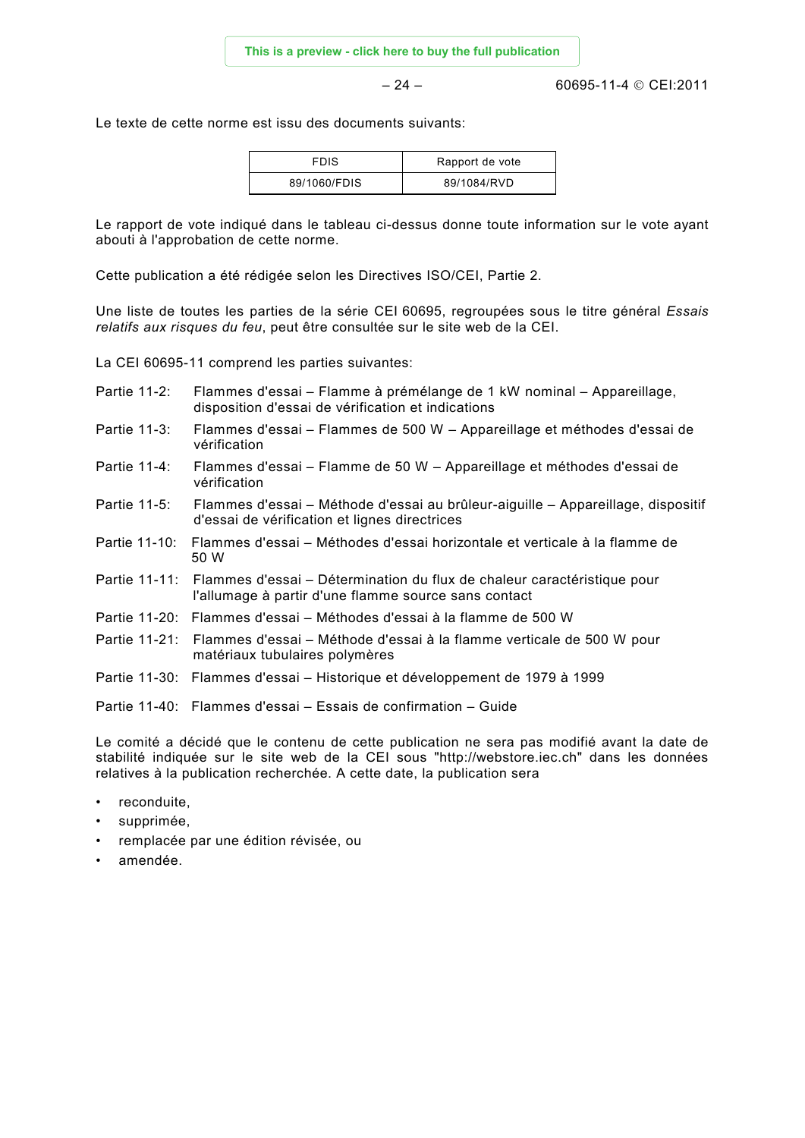#### **This is a preview - click here to buy the full publication**

 $-24 - 60695 - 11 - 4 \odot \text{CE}$ 

Le texte de cette norme est issu des documents suivants:

| <b>FDIS</b>  | Rapport de vote |
|--------------|-----------------|
| 89/1060/FDIS | 89/1084/RVD     |

Le rapport de vote indiqué dans le tableau ci-dessus donne toute information sur le vote ayant abouti à l'approbation de cette norme.

Cette publication a été rédigée selon les Directives ISO/CEI, Partie 2.

Une liste de toutes les parties de la série CEI 60695, regroupées sous le titre général *Essais relatifs aux risques du feu*, peut être consultée sur le site web de la CEI.

La CEI 60695-11 comprend les parties suivantes:

- Partie 11-2: Flammes d'essai Flamme à prémélange de 1 kW nominal Appareillage, disposition d'essai de vérification et indications
- Partie 11-3: Flammes d'essai Flammes de 500 W Appareillage et méthodes d'essai de vérification
- Partie 11-4: Flammes d'essai Flamme de 50 W Appareillage et méthodes d'essai de vérification
- Partie 11-5: Flammes d'essai Méthode d'essai au brûleur-aiguille Appareillage, dispositif d'essai de vérification et lignes directrices
- Partie 11-10: Flammes d'essai Méthodes d'essai horizontale et verticale à la flamme de 50 W
- Partie 11-11: Flammes d'essai Détermination du flux de chaleur caractéristique pour l'allumage à partir d'une flamme source sans contact
- Partie 11-20: Flammes d'essai Méthodes d'essai à la flamme de 500 W
- Partie 11-21: Flammes d'essai Méthode d'essai à la flamme verticale de 500 W pour matériaux tubulaires polymères
- Partie 11-30: Flammes d'essai Historique et développement de 1979 à 1999

Partie 11-40: Flammes d'essai – Essais de confirmation – Guide

Le comité a décidé que le contenu de cette publication ne sera pas modifié avant la date de stabilité indiquée sur le site web de la CEI sous "http://webstore.iec.ch" dans les données relatives à la publication recherchée. A cette date, la publication sera

- reconduite,
- supprimée,
- remplacée par une édition révisée, ou
- amendée.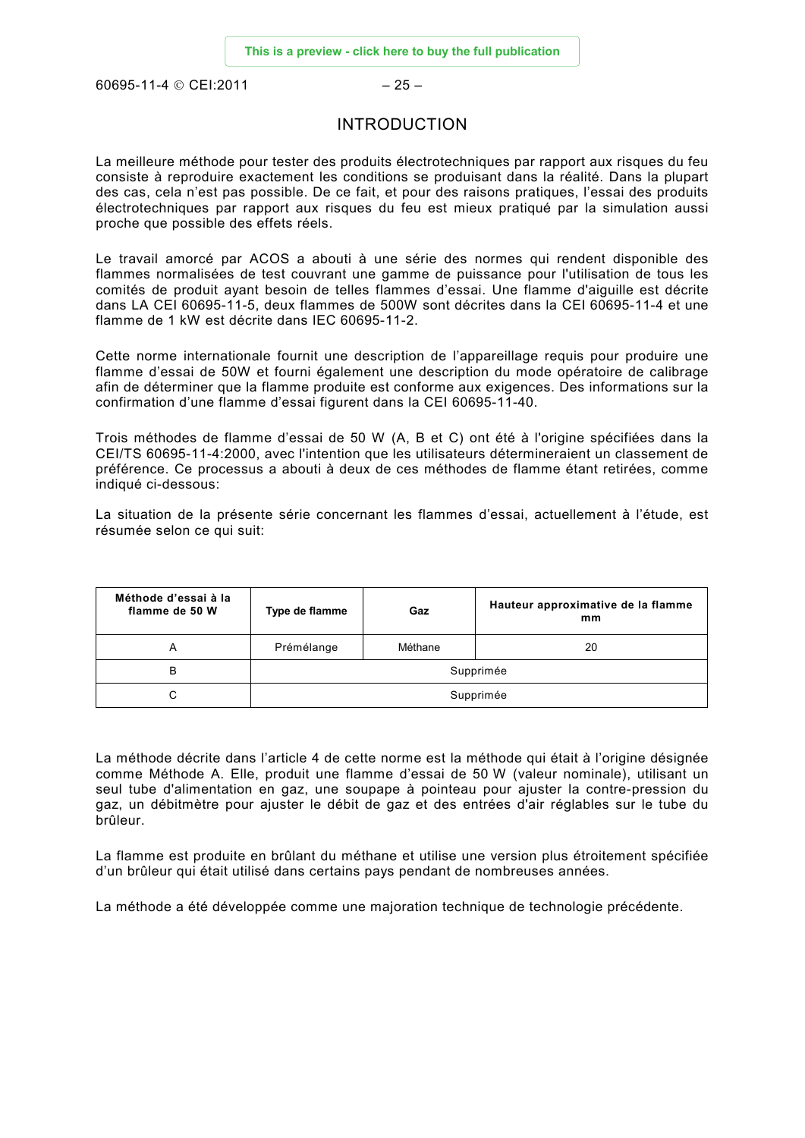$60695-11-4 \odot CF1:2011$  – 25 –

## INTRODUCTION

La meilleure méthode pour tester des produits électrotechniques par rapport aux risques du feu consiste à reproduire exactement les conditions se produisant dans la réalité. Dans la plupart des cas, cela n'est pas possible. De ce fait, et pour des raisons pratiques, l'essai des produits électrotechniques par rapport aux risques du feu est mieux pratiqué par la simulation aussi proche que possible des effets réels.

Le travail amorcé par ACOS a abouti à une série des normes qui rendent disponible des flammes normalisées de test couvrant une gamme de puissance pour l'utilisation de tous les comités de produit ayant besoin de telles flammes d'essai. Une flamme d'aiguille est décrite dans LA CEI 60695-11-5, deux flammes de 500W sont décrites dans la CEI 60695-11-4 et une flamme de 1 kW est décrite dans IEC 60695-11-2.

Cette norme internationale fournit une description de l'appareillage requis pour produire une flamme d'essai de 50W et fourni également une description du mode opératoire de calibrage afin de déterminer que la flamme produite est conforme aux exigences. Des informations sur la confirmation d'une flamme d'essai figurent dans la CEI 60695-11-40.

Trois méthodes de flamme d'essai de 50 W (A, B et C) ont été à l'origine spécifiées dans la CEI/TS 60695-11-4:2000, avec l'intention que les utilisateurs détermineraient un classement de préférence. Ce processus a abouti à deux de ces méthodes de flamme étant retirées, comme indiqué ci-dessous:

La situation de la présente série concernant les flammes d'essai, actuellement à l'étude, est résumée selon ce qui suit:

| Méthode d'essai à la<br>flamme de 50 W | Type de flamme | Gaz     | Hauteur approximative de la flamme<br>mm |
|----------------------------------------|----------------|---------|------------------------------------------|
| Α                                      | Prémélange     | Méthane | 20                                       |
| В                                      | Supprimée      |         |                                          |
| С                                      | Supprimée      |         |                                          |

La méthode décrite dans l'article 4 de cette norme est la méthode qui était à l'origine désignée comme Méthode A. Elle, produit une flamme d'essai de 50 W (valeur nominale), utilisant un seul tube d'alimentation en gaz, une soupape à pointeau pour ajuster la contre-pression du gaz, un débitmètre pour ajuster le débit de gaz et des entrées d'air réglables sur le tube du brûleur.

La flamme est produite en brûlant du méthane et utilise une version plus étroitement spécifiée d'un brûleur qui était utilisé dans certains pays pendant de nombreuses années.

La méthode a été développée comme une majoration technique de technologie précédente.